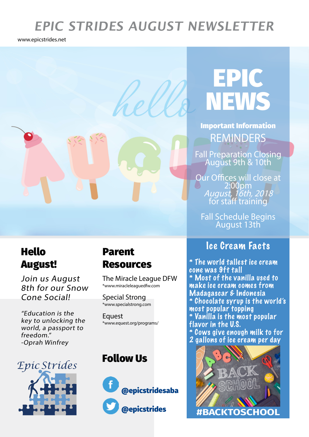# **EPIC STRIDES AUGUST NEWSLETTER**

www.epicstrides.net

# EPIC NEWS

REMINDERS Important Information

Fall Preparation Closing<br>August 9th & 10th

Our Offices will close at 2:00pm<br>*August, 16th, 2018* for staff training

Fall Schedule Begins August 13th

## Ice Cream Facts

\* The world tallest ice cream cone was 9ft tall \* Most of the vanilla used to make ice cream comes from Madagascar & Indonesia \* Chocolate syrup is the world's most popular topping \* Vanilla is the most popular flavor in the U.S. \* Cows give enough milk to for 2 gallons of ice cream per day



# Hello August!

Join us August 8th for our Snow Cone Social!

"Education is the key to unlocking the world, a passport to freedom." -Oprah Winfrey

## Parent Resources

The Miracle League DFW \*www.miracleleaguedfw.com

Special Strong \*www.specialstrong.com

**Equest** \*www.equest.org/programs/

## Follow Us